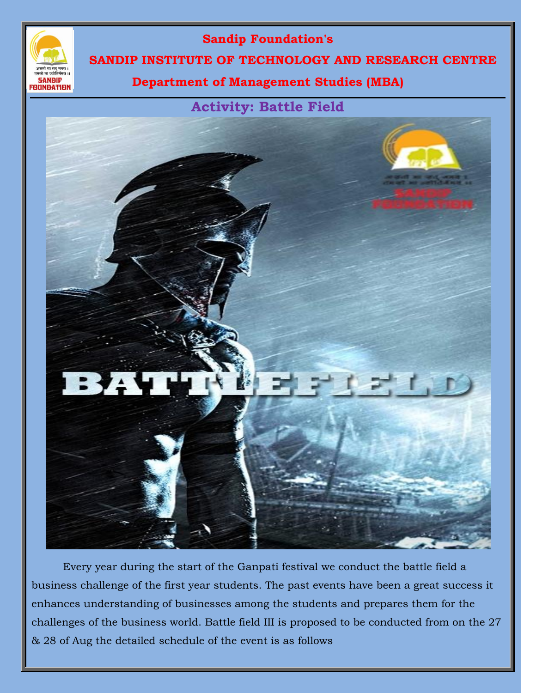

# **Sandip Foundation's**

## **SANDIP INSTITUTE OF TECHNOLOGY AND RESEARCH CENTRE**

# **Department of Management Studies (MBA)**

**Activity: Battle Field**



Every year during the start of the Ganpati festival we conduct the battle field a business challenge of the first year students. The past events have been a great success it enhances understanding of businesses among the students and prepares them for the challenges of the business world. Battle field III is proposed to be conducted from on the 27 & 28 of Aug the detailed schedule of the event is as follows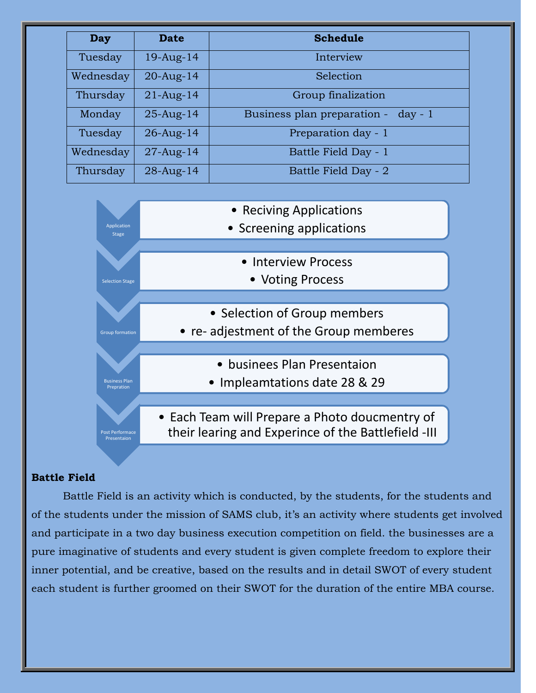| Day       | <b>Date</b>  | <b>Schedule</b>                          |
|-----------|--------------|------------------------------------------|
| Tuesday   | 19-Aug-14    | Interview                                |
| Wednesday | $20$ -Aug-14 | Selection                                |
| Thursday  | $21$ -Aug-14 | Group finalization                       |
| Monday    | $25$ -Aug-14 | Business plan preparation -<br>$day - 1$ |
| Tuesday   | $26$ -Aug-14 | Preparation day - 1                      |
| Wednesday | $27$ -Aug-14 | Battle Field Day - 1                     |
| Thursday  | 28-Aug-14    | Battle Field Day - 2                     |



## **Battle Field**

Battle Field is an activity which is conducted, by the students, for the students and of the students under the mission of SAMS club, it's an activity where students get involved and participate in a two day business execution competition on field. the businesses are a pure imaginative of students and every student is given complete freedom to explore their inner potential, and be creative, based on the results and in detail SWOT of every student each student is further groomed on their SWOT for the duration of the entire MBA course.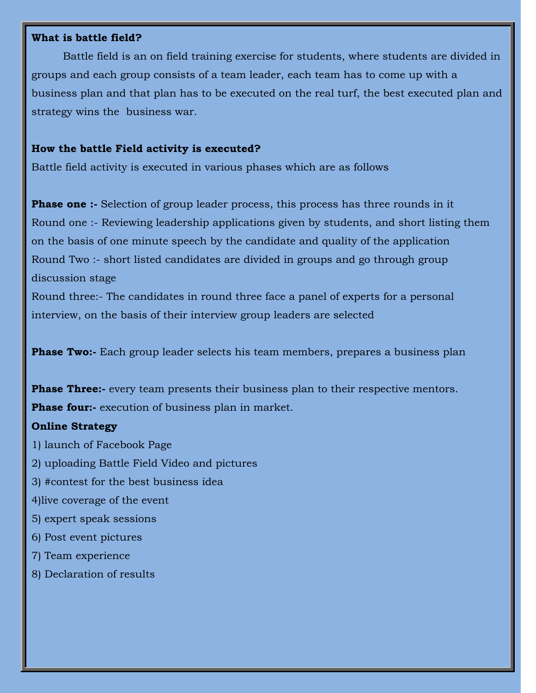#### **What is battle field?**

Battle field is an on field training exercise for students, where students are divided in groups and each group consists of a team leader, each team has to come up with a business plan and that plan has to be executed on the real turf, the best executed plan and strategy wins the business war.

#### **How the battle Field activity is executed?**

Battle field activity is executed in various phases which are as follows

**Phase one :-** Selection of group leader process, this process has three rounds in it Round one :- Reviewing leadership applications given by students, and short listing them on the basis of one minute speech by the candidate and quality of the application Round Two :- short listed candidates are divided in groups and go through group discussion stage

Round three:- The candidates in round three face a panel of experts for a personal interview, on the basis of their interview group leaders are selected

**Phase Two:-** Each group leader selects his team members, prepares a business plan

**Phase Three:**- every team presents their business plan to their respective mentors. **Phase four:-** execution of business plan in market.

### **Online Strategy**

- 1) launch of Facebook Page
- 2) uploading Battle Field Video and pictures
- 3) #contest for the best business idea
- 4)live coverage of the event
- 5) expert speak sessions
- 6) Post event pictures
- 7) Team experience
- 8) Declaration of results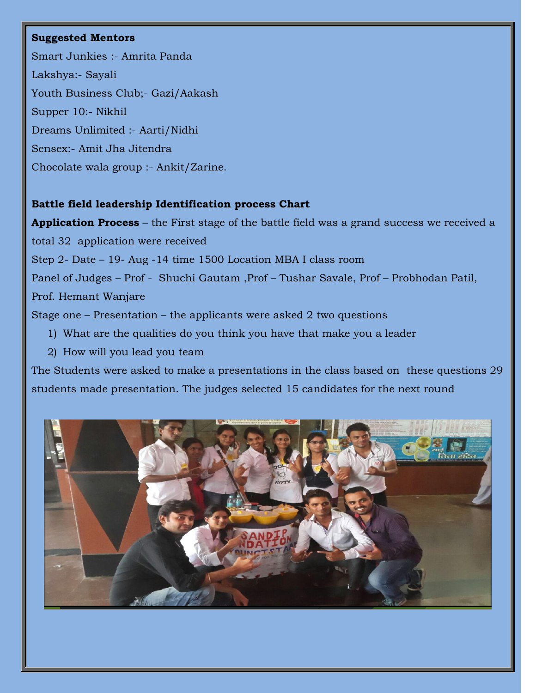### **Suggested Mentors**

Smart Junkies :- Amrita Panda Lakshya:- Sayali Youth Business Club;- Gazi/Aakash Supper 10:- Nikhil Dreams Unlimited :- Aarti/Nidhi Sensex:- Amit Jha Jitendra Chocolate wala group :- Ankit/Zarine.

### **Battle field leadership Identification process Chart**

**Application Process** – the First stage of the battle field was a grand success we received a total 32 application were received

Step 2- Date – 19- Aug -14 time 1500 Location MBA I class room

Panel of Judges – Prof - Shuchi Gautam ,Prof – Tushar Savale, Prof – Probhodan Patil,

Prof. Hemant Wanjare

Stage one – Presentation – the applicants were asked 2 two questions

- 1) What are the qualities do you think you have that make you a leader
- 2) How will you lead you team

The Students were asked to make a presentations in the class based on these questions 29 students made presentation. The judges selected 15 candidates for the next round

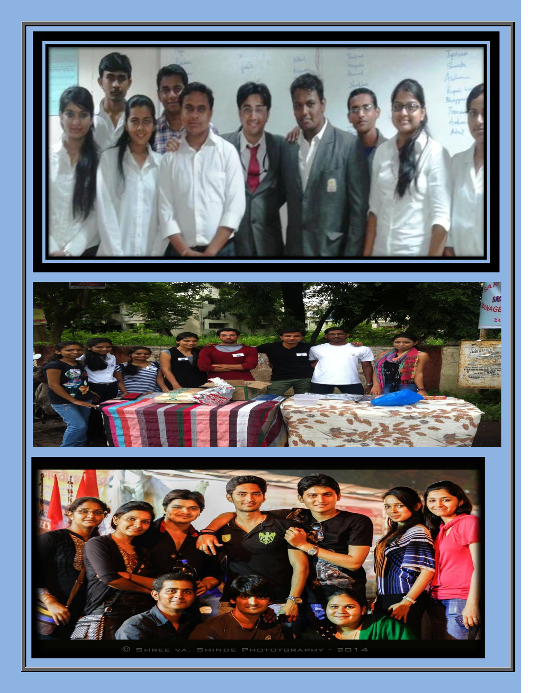